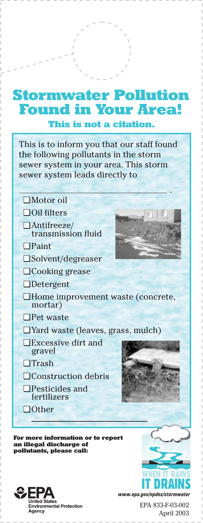## **Stormwater Pollution Found in Your Area!**

**This is not a citation.**

This is to inform you that our staff found the following pollutants in the storm sewer system in your area. This storm sewer system leads directly to

- ❑ Motor oil
- Oil filters ❑
- Antifreeze/ ❑ transmission fluid
- Paint ❑
- Solvent/degreaser ❑
- Cooking grease ❑
- Detergent ❑
- Home improvement waste (concrete, ❑ mortar)
- Pet waste ❑
- Yard waste (leaves, grass, mulch) ❑
- Excessive dirt and ❑ gravel
- □ Trash
- □ Construction debris
- Pesticides and ❑ fertilizers
- □ Other \_\_\_\_\_\_\_\_\_\_\_\_\_\_\_\_\_\_\_\_\_\_\_\_\_\_\_

**For more information or to report an illegal discharge of pollutants, please call:**



*www.epa.gov/npdes/storm* 

EPA 833-F-03-002 April 2003

WHEN IT RAINS IT DRAINS